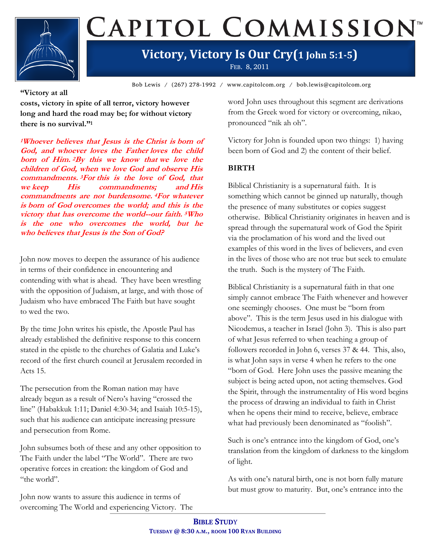

# CAPITOL COMMISSION

## **Victory, Victory Is Our Cry(1 John 5:1-5)**

FEB. 8, 2011

Bob Lewis / (267) 278-1992 / www.capitolcom.org / bob.lewis@capitolcom.org

### **"Victory at all**

**costs, victory in spite of all terror, victory however long and hard the road may be; for without victory there is no survival."<sup>1</sup>**

**<sup>1</sup>Whoever believes that Jesus is the Christ is born of God, and whoever loves the Father loves the child born of Him. <sup>2</sup>By this we know that we love the children of God, when we love God and observe His commandments. <sup>3</sup>For this is the love of God, that we keep His commandments; and His commandments are not burdensome. <sup>4</sup>For whatever is born of God overcomes the world; and this is the victory that has overcome the world--our faith. <sup>5</sup>Who is the one who overcomes the world, but he who believes that Jesus is the Son of God?**

John now moves to deepen the assurance of his audience in terms of their confidence in encountering and contending with what is ahead. They have been wrestling with the opposition of Judaism, at large, and with those of Judaism who have embraced The Faith but have sought to wed the two.

By the time John writes his epistle, the Apostle Paul has already established the definitive response to this concern stated in the epistle to the churches of Galatia and Luke's record of the first church council at Jerusalem recorded in Acts 15.

The persecution from the Roman nation may have already begun as a result of Nero's having "crossed the line" (Habakkuk 1:11; Daniel 4:30-34; and Isaiah 10:5-15), such that his audience can anticipate increasing pressure and persecution from Rome.

John subsumes both of these and any other opposition to The Faith under the label "The World". There are two operative forces in creation: the kingdom of God and "the world".

John now wants to assure this audience in terms of overcoming The World and experiencing Victory. The word John uses throughout this segment are derivations from the Greek word for victory or overcoming, nikao, pronounced "nik ah oh".

Victory for John is founded upon two things: 1) having been born of God and 2) the content of their belief.

### **BIRTH**

Biblical Christianity is a supernatural faith. It is something which cannot be ginned up naturally, though the presence of many substitutes or copies suggest otherwise. Biblical Christianity originates in heaven and is spread through the supernatural work of God the Spirit via the proclamation of his word and the lived out examples of this word in the lives of believers, and even in the lives of those who are not true but seek to emulate the truth. Such is the mystery of The Faith.

Biblical Christianity is a supernatural faith in that one simply cannot embrace The Faith whenever and however one seemingly chooses. One must be "born from above". This is the term Jesus used in his dialogue with Nicodemus, a teacher in Israel (John 3). This is also part of what Jesus referred to when teaching a group of followers recorded in John 6, verses 37 & 44. This, also, is what John says in verse 4 when he refers to the one "born of God. Here John uses the passive meaning the subject is being acted upon, not acting themselves. God the Spirit, through the instrumentality of His word begins the process of drawing an individual to faith in Christ when he opens their mind to receive, believe, embrace what had previously been denominated as "foolish".

Such is one's entrance into the kingdom of God, one's translation from the kingdom of darkness to the kingdom of light.

As with one's natural birth, one is not born fully mature but must grow to maturity. But, one's entrance into the